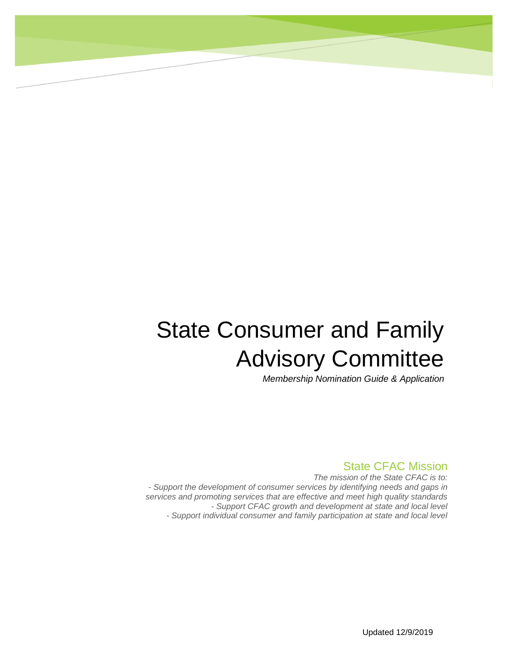# State Consumer and Family Advisory Committee

*Membership Nomination Guide & Application*

#### State CFAC Mission

*The mission of the State CFAC is to: - Support the development of consumer services by identifying needs and gaps in services and promoting services that are effective and meet high quality standards - Support CFAC growth and development at state and local level - Support individual consumer and family participation at state and local level*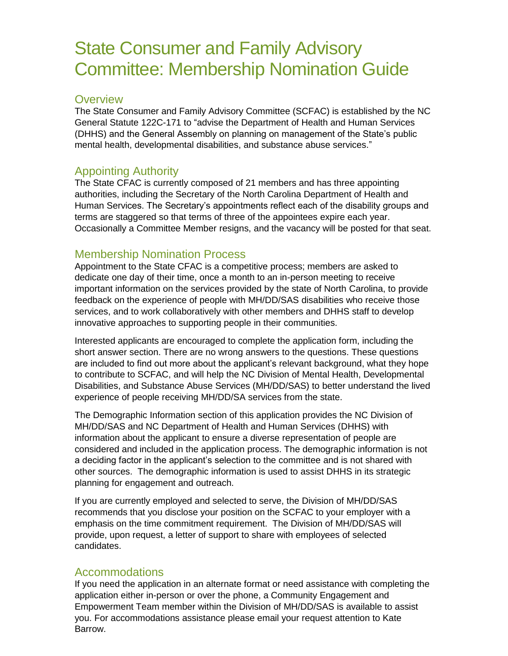# State Consumer and Family Advisory Committee: Membership Nomination Guide

#### **Overview**

The State Consumer and Family Advisory Committee (SCFAC) is established by the NC General Statute 122C-171 to "advise the Department of Health and Human Services (DHHS) and the General Assembly on planning on management of the State's public mental health, developmental disabilities, and substance abuse services."

### Appointing Authority

The State CFAC is currently composed of 21 members and has three appointing authorities, including the Secretary of the North Carolina Department of Health and Human Services. The Secretary's appointments reflect each of the disability groups and terms are staggered so that terms of three of the appointees expire each year. Occasionally a Committee Member resigns, and the vacancy will be posted for that seat.

#### Membership Nomination Process

Appointment to the State CFAC is a competitive process; members are asked to dedicate one day of their time, once a month to an in-person meeting to receive important information on the services provided by the state of North Carolina, to provide feedback on the experience of people with MH/DD/SAS disabilities who receive those services, and to work collaboratively with other members and DHHS staff to develop innovative approaches to supporting people in their communities.

Interested applicants are encouraged to complete the application form, including the short answer section. There are no wrong answers to the questions. These questions are included to find out more about the applicant's relevant background, what they hope to contribute to SCFAC, and will help the NC Division of Mental Health, Developmental Disabilities, and Substance Abuse Services (MH/DD/SAS) to better understand the lived experience of people receiving MH/DD/SA services from the state.

The Demographic Information section of this application provides the NC Division of MH/DD/SAS and NC Department of Health and Human Services (DHHS) with information about the applicant to ensure a diverse representation of people are considered and included in the application process. The demographic information is not a deciding factor in the applicant's selection to the committee and is not shared with other sources. The demographic information is used to assist DHHS in its strategic planning for engagement and outreach.

If you are currently employed and selected to serve, the Division of MH/DD/SAS recommends that you disclose your position on the SCFAC to your employer with a emphasis on the time commitment requirement. The Division of MH/DD/SAS will provide, upon request, a letter of support to share with employees of selected candidates.

#### Accommodations

If you need the application in an alternate format or need assistance with completing the application either in-person or over the phone, a Community Engagement and Empowerment Team member within the Division of MH/DD/SAS is available to assist you. For accommodations assistance please email your request attention to Kate Barrow.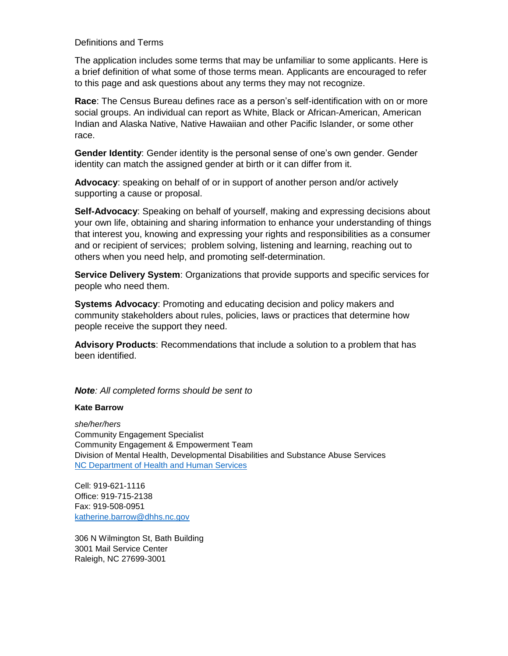#### Definitions and Terms

The application includes some terms that may be unfamiliar to some applicants. Here is a brief definition of what some of those terms mean. Applicants are encouraged to refer to this page and ask questions about any terms they may not recognize.

**Race**: The Census Bureau defines race as a person's self-identification with on or more social groups. An individual can report as White, Black or African-American, American Indian and Alaska Native, Native Hawaiian and other Pacific Islander, or some other race.

**Gender Identity**: Gender identity is the personal sense of one's own gender. Gender identity can match the assigned gender at birth or it can differ from it.

**Advocacy**: speaking on behalf of or in support of another person and/or actively supporting a cause or proposal.

**Self-Advocacy**: Speaking on behalf of yourself, making and expressing decisions about your own life, obtaining and sharing information to enhance your understanding of things that interest you, knowing and expressing your rights and responsibilities as a consumer and or recipient of services; problem solving, listening and learning, reaching out to others when you need help, and promoting self-determination.

**Service Delivery System**: Organizations that provide supports and specific services for people who need them.

**Systems Advocacy**: Promoting and educating decision and policy makers and community stakeholders about rules, policies, laws or practices that determine how people receive the support they need.

**Advisory Products**: Recommendations that include a solution to a problem that has been identified.

#### *Note: All completed forms should be sent to*

#### **Kate Barrow**

*she/her/hers* Community Engagement Specialist Community Engagement & Empowerment Team Division of Mental Health, Developmental Disabilities and Substance Abuse Services [NC Department of Health and Human Services](http://www.ncdhhs.gov/)

Cell: 919-621-1116 Office: 919-715-2138 Fax: 919-508-0951 [katherine.barrow@dhhs.nc.gov](mailto:katherine.barrow@dhhs.nc.gov%20%0d) 

306 N Wilmington St, Bath Building 3001 Mail Service Center Raleigh, NC 27699-3001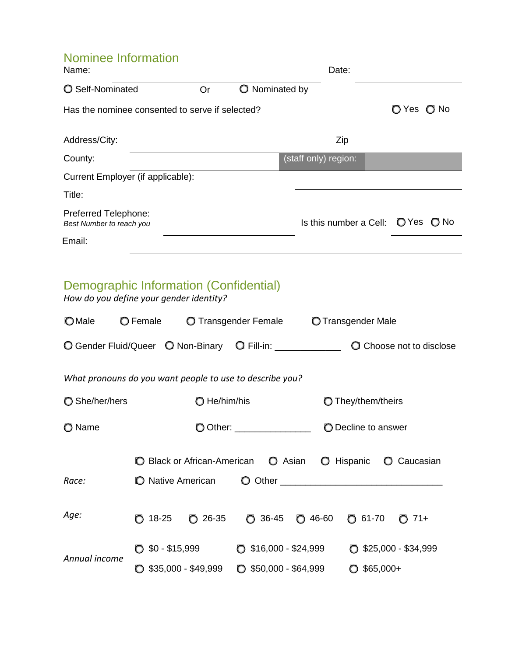# Nominee Information

| Name:                                                                             |              |                       | Date:                  |                                 |
|-----------------------------------------------------------------------------------|--------------|-----------------------|------------------------|---------------------------------|
| ○ Self-Nominated                                                                  | Or           | <b>Q</b> Nominated by |                        |                                 |
| Has the nominee consented to serve if selected?                                   |              |                       |                        | O Yes O No                      |
| Address/City:                                                                     |              |                       | Zip                    |                                 |
| County:                                                                           |              |                       | (staff only) region:   |                                 |
| Current Employer (if applicable):                                                 |              |                       |                        |                                 |
| Title:                                                                            |              |                       |                        |                                 |
| Preferred Telephone:<br>Best Number to reach you                                  |              |                       | Is this number a Cell: | O Yes O No                      |
| Email:                                                                            |              |                       |                        |                                 |
| Demographic Information (Confidential)<br>How do you define your gender identity? |              |                       |                        |                                 |
| <b>O</b> Male<br>O Female                                                         |              | O Transgender Female  | O Transgender Male     |                                 |
| Q Gender Fluid/Queer Q Non-Binary Q Fill-in: ____________                         |              |                       |                        | <b>Q</b> Choose not to disclose |
| What pronouns do you want people to use to describe you?                          |              |                       |                        |                                 |
| m Sha/har/hare                                                                    | ∩ Ha/him/hic |                       | m Thay/tham/thaire     |                                 |

| ◯ She/her/hers | He/him/his                     |                     |                                |                            | <b>O</b> They/them/theirs |                               |                   |            |                    |
|----------------|--------------------------------|---------------------|--------------------------------|----------------------------|---------------------------|-------------------------------|-------------------|------------|--------------------|
| O Name         | Other: __________________<br>O |                     |                                | <b>O</b> Decline to answer |                           |                               |                   |            |                    |
|                |                                |                     |                                |                            |                           |                               | <b>O</b> Hispanic |            | <b>O</b> Caucasian |
| Race:          | <b>Native American</b><br>O    |                     |                                |                            |                           |                               |                   |            |                    |
| Age:           | 18-25<br>O.                    | $\bigcirc$ 26-35    |                                | $\bigcirc$ 36-45           |                           | $O$ 46-60                     | $O$ 61-70         |            | $71+$<br>$\Omega$  |
| Annual income  | $$0 - $15,999$                 |                     | $\bigcirc$ \$16,000 - \$24,999 |                            |                           | $\bullet$ \$25,000 - \$34,999 |                   |            |                    |
|                |                                | $$35,000 - $49,999$ | O.                             | \$50,000 - \$64,999        |                           |                               |                   | $$65,000+$ |                    |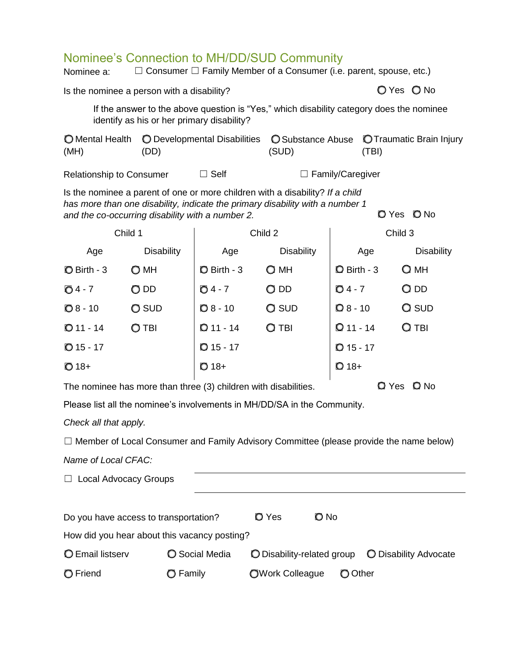## Nominee's Connection to MH/DD/SUD Community

| Nominee a:                                                                                                                                                                                                                                 |                                            |                                                                   | Nominee's Connection to MH/DD/SUD Community<br>$\Box$ Consumer $\Box$ Family Member of a Consumer (i.e. parent, spouse, etc.) |                                   |                   |  |
|--------------------------------------------------------------------------------------------------------------------------------------------------------------------------------------------------------------------------------------------|--------------------------------------------|-------------------------------------------------------------------|-------------------------------------------------------------------------------------------------------------------------------|-----------------------------------|-------------------|--|
| O Yes O No<br>Is the nominee a person with a disability?                                                                                                                                                                                   |                                            |                                                                   |                                                                                                                               |                                   |                   |  |
|                                                                                                                                                                                                                                            | identify as his or her primary disability? |                                                                   | If the answer to the above question is "Yes," which disability category does the nominee                                      |                                   |                   |  |
| <b>O</b> Mental Health<br>(MH)                                                                                                                                                                                                             | (DD)                                       | O Developmental Disabilities<br><b>O</b> Substance Abuse<br>(SUD) |                                                                                                                               | O Traumatic Brain Injury<br>(TBI) |                   |  |
| <b>Relationship to Consumer</b>                                                                                                                                                                                                            |                                            | $\Box$ Self                                                       |                                                                                                                               | $\Box$ Family/Caregiver           |                   |  |
| Is the nominee a parent of one or more children with a disability? If a child<br>has more than one disability, indicate the primary disability with a number 1<br>O No<br><b>D</b> Yes<br>and the co-occurring disability with a number 2. |                                            |                                                                   |                                                                                                                               |                                   |                   |  |
| Child 1                                                                                                                                                                                                                                    |                                            | Child 2                                                           |                                                                                                                               | Child 3                           |                   |  |
| Age                                                                                                                                                                                                                                        | <b>Disability</b>                          | Age                                                               | <b>Disability</b>                                                                                                             | Age                               | <b>Disability</b> |  |
| $\bullet$ Birth - 3                                                                                                                                                                                                                        | $\bigcirc$ MH                              | <b>O</b> Birth - 3                                                | $\bigcirc$ MH                                                                                                                 | $Q$ Birth - 3                     | $Q$ MH            |  |
| $04 - 7$                                                                                                                                                                                                                                   | O DD                                       | O 4 - 7                                                           | $O$ DD                                                                                                                        | $O$ 4 - 7                         | $\bigcirc$ dd     |  |
| $\textcircled{8}$ - 10                                                                                                                                                                                                                     | <b>O</b> SUD                               | $Q_8 - 10$                                                        | Q SUD                                                                                                                         | $Q_8$ - 10                        | Q SUD             |  |
| $O$ 11 - 14                                                                                                                                                                                                                                | O TBI                                      | $Q$ 11 - 14                                                       | $O$ TBI                                                                                                                       | $Q$ 11 - 14                       | $Q$ TBI           |  |
| $O$ 15 - 17                                                                                                                                                                                                                                |                                            | $O$ 15 - 17                                                       |                                                                                                                               | $Q$ 15 - 17                       |                   |  |
| $O(18+$                                                                                                                                                                                                                                    |                                            | $O$ 18+                                                           |                                                                                                                               | $\mathbf{Q}$ 18+                  |                   |  |
| <b>Q</b> Yes<br>O No<br>The nominee has more than three (3) children with disabilities.                                                                                                                                                    |                                            |                                                                   |                                                                                                                               |                                   |                   |  |
| Please list all the nominee's involvements in MH/DD/SA in the Community.                                                                                                                                                                   |                                            |                                                                   |                                                                                                                               |                                   |                   |  |
| Check all that apply.                                                                                                                                                                                                                      |                                            |                                                                   |                                                                                                                               |                                   |                   |  |
| $\Box$ Member of Local Consumer and Family Advisory Committee (please provide the name below)                                                                                                                                              |                                            |                                                                   |                                                                                                                               |                                   |                   |  |
| Name of Local CFAC:                                                                                                                                                                                                                        |                                            |                                                                   |                                                                                                                               |                                   |                   |  |
| <b>Local Advocacy Groups</b>                                                                                                                                                                                                               |                                            |                                                                   |                                                                                                                               |                                   |                   |  |
|                                                                                                                                                                                                                                            | Do you have access to transportation?      |                                                                   | $\mathsf{O}$ Yes<br>O No                                                                                                      |                                   |                   |  |
| How did you hear about this vacancy posting?                                                                                                                                                                                               |                                            |                                                                   |                                                                                                                               |                                   |                   |  |
| <b>O</b> Email listserv<br><b>O</b> Social Media<br>O Disability-related group<br>O Disability Advocate                                                                                                                                    |                                            |                                                                   |                                                                                                                               |                                   |                   |  |

◯ Friend 
◯ Family 
◯ Other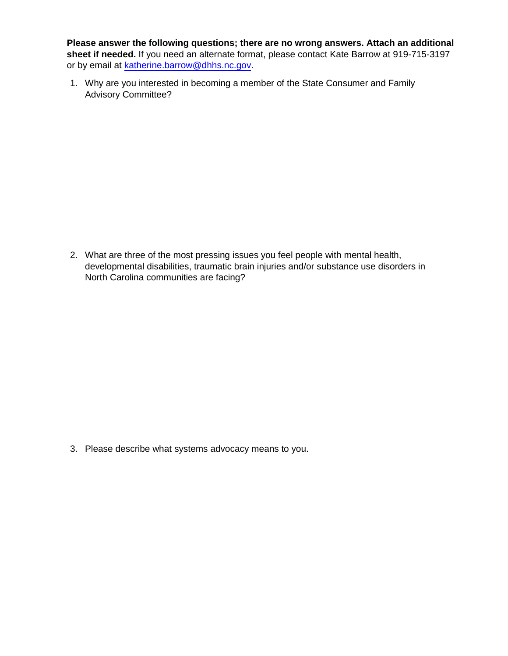**l Please answer the following questions; there are no wrong answers. Attach an additional sheet if needed.** If you need an alternate format, please contact Kate Barrow at 919-715-3197 or by email at [katherine.barrow@dhhs.nc.gov.](mailto:katherine.barrow@dhhs.nc.gov)

1. Why are you interested in becoming a member of the State Consumer and Family Advisory Committee?

2. What are three of the most pressing issues you feel people with mental health, developmental disabilities, traumatic brain injuries and/or substance use disorders in North Carolina communities are facing?

3. Please describe what systems advocacy means to you.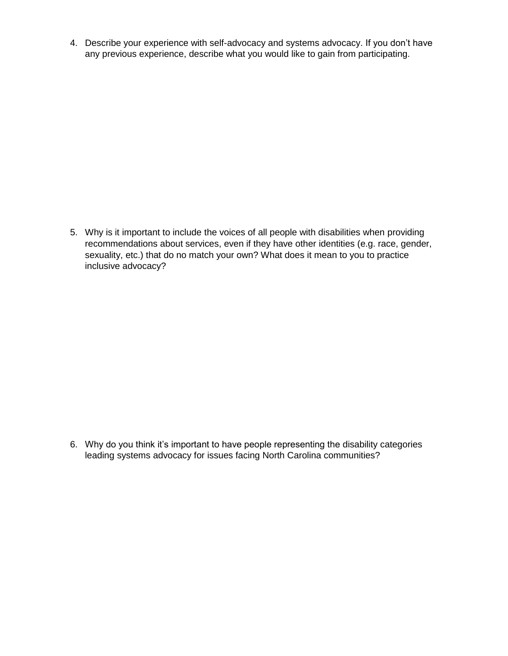4. Describe your experience with self-advocacy and systems advocacy. If you don't have any previous experience, describe what you would like to gain from participating.

5. Why is it important to include the voices of all people with disabilities when providing recommendations about services, even if they have other identities (e.g. race, gender, sexuality, etc.) that do no match your own? What does it mean to you to practice inclusive advocacy?

6. Why do you think it's important to have people representing the disability categories leading systems advocacy for issues facing North Carolina communities?